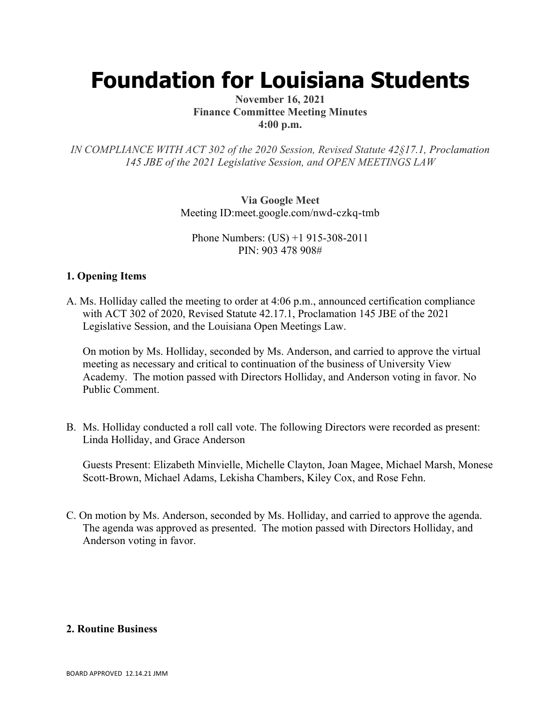# **Foundation for Louisiana Students**

## **November 16, 2021 Finance Committee Meeting Minutes 4:00 p.m.**

*IN COMPLIANCE WITH ACT 302 of the 2020 Session, Revised Statute 42§17.1, Proclamation 145 JBE of the 2021 Legislative Session, and OPEN MEETINGS LAW*

> **Via Google Meet**  Meeting ID:meet.google.com/nwd-czkq-tmb

Phone Numbers: (US) +1 915-308-2011 PIN: 903 478 908#

## **1. Opening Items**

A. Ms. Holliday called the meeting to order at 4:06 p.m., announced certification compliance with ACT 302 of 2020, Revised Statute 42.17.1, Proclamation 145 JBE of the 2021 Legislative Session, and the Louisiana Open Meetings Law.

On motion by Ms. Holliday, seconded by Ms. Anderson, and carried to approve the virtual meeting as necessary and critical to continuation of the business of University View Academy. The motion passed with Directors Holliday, and Anderson voting in favor. No Public Comment.

B. Ms. Holliday conducted a roll call vote. The following Directors were recorded as present: Linda Holliday, and Grace Anderson

Guests Present: Elizabeth Minvielle, Michelle Clayton, Joan Magee, Michael Marsh, Monese Scott-Brown, Michael Adams, Lekisha Chambers, Kiley Cox, and Rose Fehn.

C. On motion by Ms. Anderson, seconded by Ms. Holliday, and carried to approve the agenda. The agenda was approved as presented. The motion passed with Directors Holliday, and Anderson voting in favor.

#### **2. Routine Business**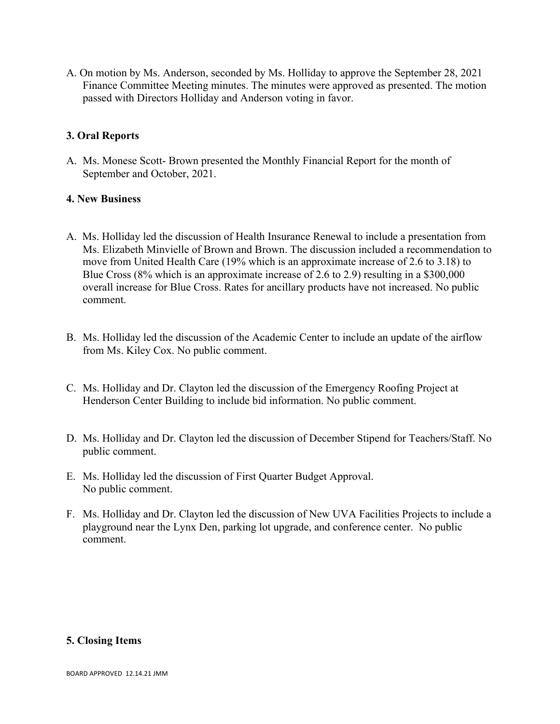A. On motion by Ms. Anderson, seconded by Ms. Holliday to approve the September 28, 2021 Finance Committee Meeting minutes. The minutes were approved as presented. The motion passed with Directors Holliday and Anderson voting in favor.

## **3. Oral Reports**

A. Ms. Monese Scott- Brown presented the Monthly Financial Report for the month of September and October, 2021.

## **4. New Business**

- A. Ms. Holliday led the discussion of Health Insurance Renewal to include a presentation from Ms. Elizabeth Minvielle of Brown and Brown. The discussion included a recommendation to move from United Health Care (19% which is an approximate increase of 2.6 to 3.18) to Blue Cross (8% which is an approximate increase of 2.6 to 2.9) resulting in a \$300,000 overall increase for Blue Cross. Rates for ancillary products have not increased. No public comment.
- B. Ms. Holliday led the discussion of the Academic Center to include an update of the airflow from Ms. Kiley Cox. No public comment.
- C. Ms. Holliday and Dr. Clayton led the discussion of the Emergency Roofing Project at Henderson Center Building to include bid information. No public comment.
- D. Ms. Holliday and Dr. Clayton led the discussion of December Stipend for Teachers/Staff. No public comment.
- E. Ms. Holliday led the discussion of First Quarter Budget Approval. No public comment.
- F. Ms. Holliday and Dr. Clayton led the discussion of New UVA Facilities Projects to include a playground near the Lynx Den, parking lot upgrade, and conference center. No public comment.

#### **5. Closing Items**